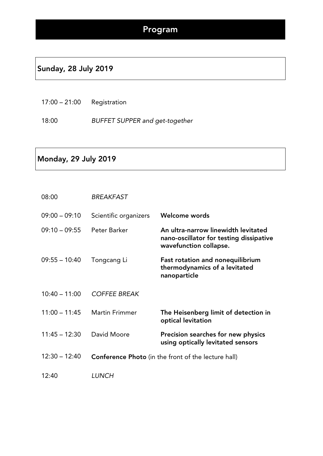#### Sunday, 28 July 2019

17:00 – 21:00 Registration

18:00 *BUFFET SUPPER and get-together*

#### Monday, 29 July 2019

| 08:00           | <b>BREAKFAST</b>      |                                                                                                          |
|-----------------|-----------------------|----------------------------------------------------------------------------------------------------------|
| $09:00 - 09:10$ | Scientific organizers | Welcome words                                                                                            |
| $09:10 - 09:55$ | Peter Barker          | An ultra-narrow linewidth levitated<br>nano-oscillator for testing dissipative<br>wavefunction collapse. |
| $09:55 - 10:40$ | Tongcang Li           | <b>Fast rotation and nonequilibrium</b><br>thermodynamics of a levitated<br>nanoparticle                 |
| $10:40 - 11:00$ | <b>COFFEE BREAK</b>   |                                                                                                          |
| $11:00 - 11:45$ | <b>Martin Frimmer</b> | The Heisenberg limit of detection in<br>optical levitation                                               |
| $11:45 - 12:30$ | David Moore           | Precision searches for new physics<br>using optically levitated sensors                                  |
| $12:30 - 12:40$ |                       | <b>Conference Photo</b> (in the front of the lecture hall)                                               |
| 12:40           | <b>LUNCH</b>          |                                                                                                          |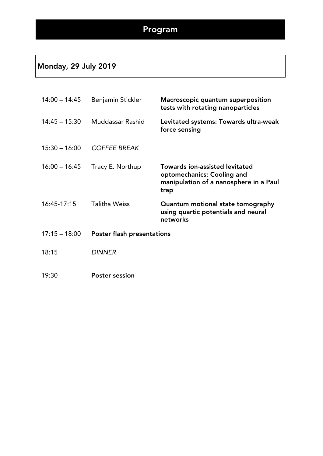## Monday, 29 July 2019

| $14:00 - 14:45$ | Benjamin Stickler          | Macroscopic quantum superposition<br>tests with rotating nanoparticles                                                |
|-----------------|----------------------------|-----------------------------------------------------------------------------------------------------------------------|
| $14:45 - 15:30$ | Muddassar Rashid           | Levitated systems: Towards ultra-weak<br>force sensing                                                                |
| $15:30 - 16:00$ | <b>COFFEE BREAK</b>        |                                                                                                                       |
| $16:00 - 16:45$ | Tracy E. Northup           | <b>Towards ion-assisted levitated</b><br>optomechanics: Cooling and<br>manipulation of a nanosphere in a Paul<br>trap |
| $16:45-17:15$   | <b>Talitha Weiss</b>       | Quantum motional state tomography<br>using quartic potentials and neural<br>networks                                  |
| $17:15 - 18:00$ | Poster flash presentations |                                                                                                                       |
| 18:15           | <b>DINNER</b>              |                                                                                                                       |
| 19:30           | <b>Poster session</b>      |                                                                                                                       |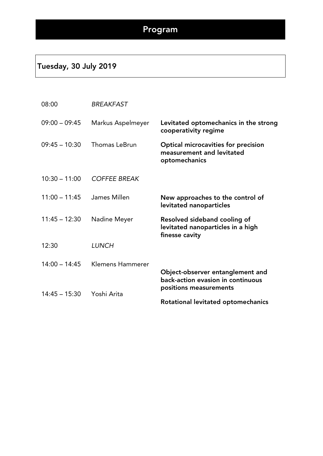#### Tuesday, 30 July 2019

| 08:00           | <b>BREAKFAST</b>     |                                                                                          |
|-----------------|----------------------|------------------------------------------------------------------------------------------|
| $09:00 - 09:45$ | Markus Aspelmeyer    | Levitated optomechanics in the strong<br>cooperativity regime                            |
| $09:45 - 10:30$ | <b>Thomas LeBrun</b> | <b>Optical microcavities for precision</b><br>measurement and levitated<br>optomechanics |
| $10:30 - 11:00$ | <b>COFFEE BREAK</b>  |                                                                                          |
| $11:00 - 11:45$ | James Millen         | New approaches to the control of<br>levitated nanoparticles                              |
| $11:45 - 12:30$ | Nadine Meyer         | Resolved sideband cooling of<br>levitated nanoparticles in a high<br>finesse cavity      |
| 12:30           | <b>LUNCH</b>         |                                                                                          |
| $14:00 - 14:45$ | Klemens Hammerer     | Object-observer entanglement and<br>back-action evasion in continuous                    |
| $14:45 - 15:30$ | Yoshi Arita          | positions measurements                                                                   |
|                 |                      | Rotational levitated optomechanics                                                       |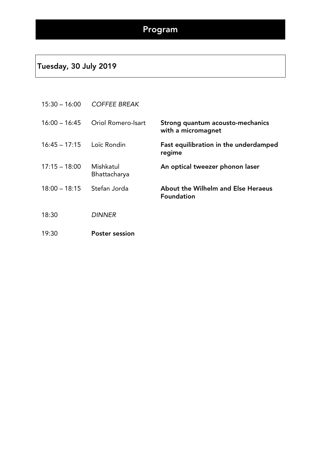#### Tuesday, 30 July 2019

| $15:30 - 16:00$ | <b>COFFEE BREAK</b>       |                                                         |
|-----------------|---------------------------|---------------------------------------------------------|
| $16:00 - 16:45$ | <b>Oriol Romero-Isart</b> | Strong quantum acousto-mechanics<br>with a micromagnet  |
| $16:45 - 17:15$ | Loïc Rondin               | Fast equilibration in the underdamped<br>regime         |
| $17:15 - 18:00$ | Mishkatul<br>Bhattacharya | An optical tweezer phonon laser                         |
| $18:00 - 18:15$ | Stefan Jorda              | About the Wilhelm and Else Heraeus<br><b>Foundation</b> |
| 18:30           | <b>DINNER</b>             |                                                         |
| 19:30           | <b>Poster session</b>     |                                                         |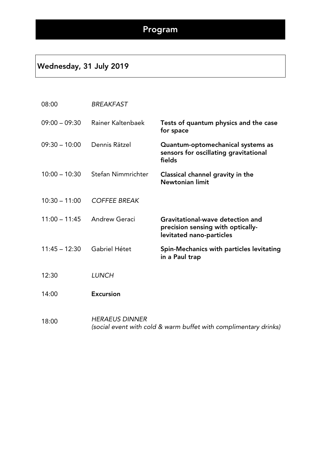#### Wednesday, 31 July 2019

#### 08:00 *BREAKFAST*

| $09:00 - 09:30$ | Rainer Kaltenbaek   | Tests of quantum physics and the case<br>for space                                                |
|-----------------|---------------------|---------------------------------------------------------------------------------------------------|
| $09:30 - 10:00$ | Dennis Rätzel       | Quantum-optomechanical systems as<br>sensors for oscillating gravitational<br>fields              |
| $10:00 - 10:30$ | Stefan Nimmrichter  | Classical channel gravity in the<br>Newtonian limit                                               |
| $10:30 - 11:00$ | <b>COFFEE BREAK</b> |                                                                                                   |
| $11:00 - 11:45$ | Andrew Geraci       | Gravitational-wave detection and<br>precision sensing with optically-<br>levitated nano-particles |
| $11:45 - 12:30$ | Gabriel Hétet       | Spin-Mechanics with particles levitating<br>in a Paul trap                                        |
| 12:30           | <b>LUNCH</b>        |                                                                                                   |
| 14:00           | <b>Excursion</b>    |                                                                                                   |

18:00 *HERAEUS DINNER (social event with cold & warm buffet with complimentary drinks)*